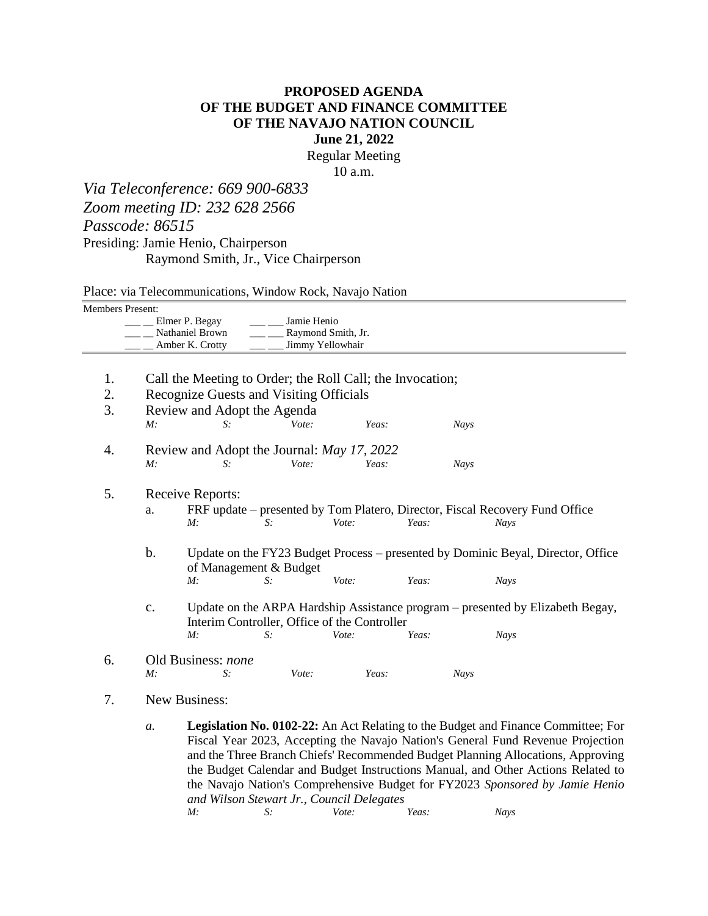## **PROPOSED AGENDA OF THE BUDGET AND FINANCE COMMITTEE OF THE NAVAJO NATION COUNCIL June 21, 2022**

Regular Meeting

10 a.m.

*Via Teleconference: 669 900-6833 Zoom meeting ID: 232 628 2566 Passcode: 86515* Presiding: Jamie Henio, Chairperson Raymond Smith, Jr., Vice Chairperson

Place: via Telecommunications, Window Rock, Navajo Nation

| Members Present: |                                                                                                                             |                                                                                          |                    |                  |       |             |             |  |  |  |  |  |
|------------------|-----------------------------------------------------------------------------------------------------------------------------|------------------------------------------------------------------------------------------|--------------------|------------------|-------|-------------|-------------|--|--|--|--|--|
|                  |                                                                                                                             | Elmer P. Begay                                                                           | Jamie Henio        |                  |       |             |             |  |  |  |  |  |
|                  |                                                                                                                             | Nathaniel Brown                                                                          | Raymond Smith, Jr. |                  |       |             |             |  |  |  |  |  |
|                  |                                                                                                                             | Amber K. Crotty                                                                          |                    | Jimmy Yellowhair |       |             |             |  |  |  |  |  |
|                  |                                                                                                                             |                                                                                          |                    |                  |       |             |             |  |  |  |  |  |
| 1.               |                                                                                                                             | Call the Meeting to Order; the Roll Call; the Invocation;                                |                    |                  |       |             |             |  |  |  |  |  |
| 2.               |                                                                                                                             | Recognize Guests and Visiting Officials                                                  |                    |                  |       |             |             |  |  |  |  |  |
| 3.               | Review and Adopt the Agenda                                                                                                 |                                                                                          |                    |                  |       |             |             |  |  |  |  |  |
|                  | M:                                                                                                                          | S:                                                                                       | Vote:              | Yeas:            |       | <b>Nays</b> |             |  |  |  |  |  |
|                  |                                                                                                                             |                                                                                          |                    |                  |       |             |             |  |  |  |  |  |
| 4.               | Review and Adopt the Journal: <i>May 17</i> , 2022                                                                          |                                                                                          |                    |                  |       |             |             |  |  |  |  |  |
|                  | M:                                                                                                                          | $S$ :                                                                                    | Vote:              | Yeas:            |       | <b>Nays</b> |             |  |  |  |  |  |
|                  |                                                                                                                             |                                                                                          |                    |                  |       |             |             |  |  |  |  |  |
| 5.               | Receive Reports:<br>FRF update – presented by Tom Platero, Director, Fiscal Recovery Fund Office                            |                                                                                          |                    |                  |       |             |             |  |  |  |  |  |
|                  | a.                                                                                                                          |                                                                                          |                    |                  |       |             |             |  |  |  |  |  |
|                  |                                                                                                                             | M:                                                                                       | $S$ :              | Vote:            | Yeas: |             | <b>Nays</b> |  |  |  |  |  |
|                  |                                                                                                                             |                                                                                          |                    |                  |       |             |             |  |  |  |  |  |
|                  | $\mathbf b$ .<br>Update on the FY23 Budget Process – presented by Dominic Beyal, Director, Office<br>of Management & Budget |                                                                                          |                    |                  |       |             |             |  |  |  |  |  |
|                  |                                                                                                                             | M:                                                                                       | $S$ :              | Vote:            | Yeas: |             | Nays        |  |  |  |  |  |
|                  |                                                                                                                             |                                                                                          |                    |                  |       |             |             |  |  |  |  |  |
|                  | Update on the ARPA Hardship Assistance program – presented by Elizabeth Begay,<br>$\mathbf{C}$ .                            |                                                                                          |                    |                  |       |             |             |  |  |  |  |  |
|                  | Interim Controller, Office of the Controller                                                                                |                                                                                          |                    |                  |       |             |             |  |  |  |  |  |
|                  |                                                                                                                             | M:                                                                                       | S:                 | Vote:            | Yeas: |             | Nays        |  |  |  |  |  |
|                  |                                                                                                                             |                                                                                          |                    |                  |       |             |             |  |  |  |  |  |
| 6.               | M:                                                                                                                          | Old Business: none<br>$S$ :                                                              |                    | Yeas:            |       |             |             |  |  |  |  |  |
|                  |                                                                                                                             |                                                                                          | Vote:              |                  |       | <b>Nays</b> |             |  |  |  |  |  |
| 7.               | New Business:                                                                                                               |                                                                                          |                    |                  |       |             |             |  |  |  |  |  |
|                  |                                                                                                                             |                                                                                          |                    |                  |       |             |             |  |  |  |  |  |
|                  | $a$ .                                                                                                                       | <b>Legislation No. 0102-22:</b> An Act Relating to the Budget and Finance Committee; For |                    |                  |       |             |             |  |  |  |  |  |
|                  | Fiscal Year 2023, Accepting the Navajo Nation's General Fund Revenue Projection                                             |                                                                                          |                    |                  |       |             |             |  |  |  |  |  |
|                  | and the Three Branch Chiefs' Recommended Budget Planning Allocations, Approving                                             |                                                                                          |                    |                  |       |             |             |  |  |  |  |  |
|                  | the Budget Calendar and Budget Instructions Manual, and Other Actions Related to                                            |                                                                                          |                    |                  |       |             |             |  |  |  |  |  |

*and Wilson Stewart Jr., Council Delegates M: S: Vote: Yeas: Nays*

the Navajo Nation's Comprehensive Budget for FY2023 *Sponsored by Jamie Henio*